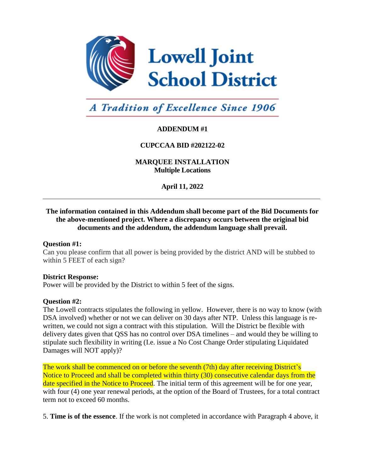

# **A Tradition of Excellence Since 1906**

# **ADDENDUM #1**

# **CUPCCAA BID #202122-02**

# **MARQUEE INSTALLATION Multiple Locations**

**April 11, 2022**

# **The information contained in this Addendum shall become part of the Bid Documents for the above-mentioned project. Where a discrepancy occurs between the original bid documents and the addendum, the addendum language shall prevail.**

#### **Question #1:**

Can you please confirm that all power is being provided by the district AND will be stubbed to within 5 FEET of each sign?

#### **District Response:**

Power will be provided by the District to within 5 feet of the signs.

#### **Question #2:**

The Lowell contracts stipulates the following in yellow. However, there is no way to know (with DSA involved) whether or not we can deliver on 30 days after NTP. Unless this language is rewritten, we could not sign a contract with this stipulation. Will the District be flexible with delivery dates given that QSS has no control over DSA timelines – and would they be willing to stipulate such flexibility in writing (I.e. issue a No Cost Change Order stipulating Liquidated Damages will NOT apply)?

The work shall be commenced on or before the seventh (7th) day after receiving District's Notice to Proceed and shall be completed within thirty (30) consecutive calendar days from the date specified in the Notice to Proceed. The initial term of this agreement will be for one year, with four (4) one year renewal periods, at the option of the Board of Trustees, for a total contract term not to exceed 60 months.

5. **Time is of the essence**. If the work is not completed in accordance with Paragraph 4 above, it